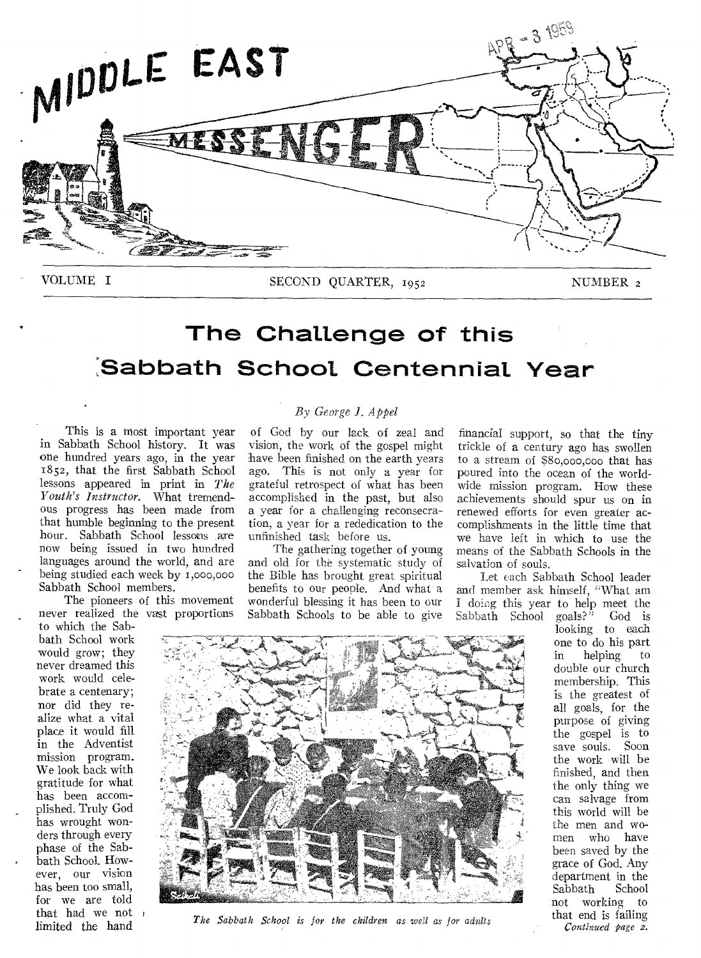

VOLUME I SECOND QUARTER, 1952 NUMBER 2

# **The Challenge of this Sabbath School Centennial Year**

This is a most important year in Sabbath School history. It was one hundred years ago, in the year 1852, that the first Sabbath School lessons appeared in print in *The Youth's Instructor.* What tremendous progress has been made from that humble beginning to the present hour. Sabbath School lessons are now being issued in two hundred languages around the world, and are being studied each week by r,000,000 Sabbath School members.

The pioneers of this movement never realized the vast proportions

to which the Sabbath School work would grow; they never dreamed this work would celebrate a centenary; nor did they realize what a vital place it would fill in the Adventist mission program. We look back with gratitude for what has been accomplished. Truly God has wrought wonders through every phase of the Sabbath School. However, our vision has been too small, for we are told that had we not limited the hand

### *By George I. Appel*

of God by our lack of zeal and vision, the work of the gospel might have been finished on the earth years ago. This is not only a year for grateful retrospect of what has been accomplished in the past, but also a year for a challenging reconsecration, a year for a rededication to the unfinished task before us.

The gathering together of young and old for the systematic study of the Bible has brought great spiritual benefits to our people. And what a wonderful blessing it has been to our Sabbath Schools to be able to give

financial support, so that the tiny trickle of a century ago has swollen to a stream of \$8o,000,000 that has poured into the ocean of the worldwide mission program. How these achievements should spur us on in renewed efforts for even greater accomplishments in the little time that we have left in which to use the means of the Sabbath Schools in the salvation of souls.

Let each Sabbath School leader and member ask himself, "What am I doing this year to help meet the<br>Sabbath School goals?" God is Sabbath School

looking to each one to do his part in helping to double our church membership. This is the greatest of all goals, for the purpose of giving the gospel is to save souls. Soon the work will be finished, and then the only thing we can salvage from this world will be the men and women who have been saved by the grace of God. Any department in the Sabbath not working to that end is failing *Continued page 2.* 



*The Sabbath School is for the children as well as for adults*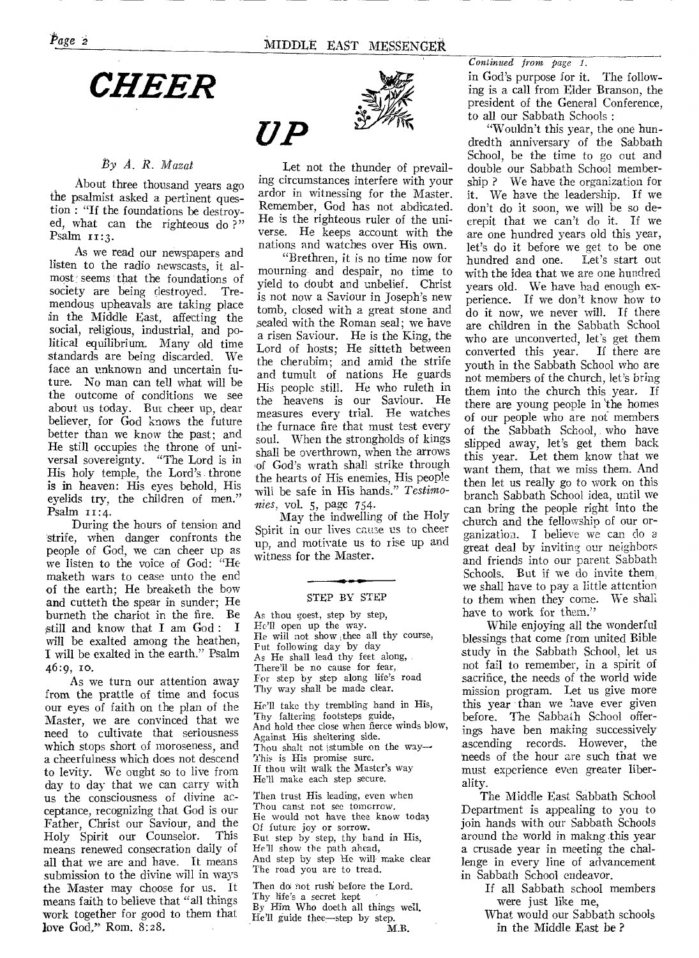#### *By A. R. Mazat*

**About three thousand years ago the psalmist asked a pertinent question : "If the foundations be destroyed, what can the righteous do ?" Psalm ii:3.** 

**As we read our newspapers and listen to the radio newscasts, it al**most seems that the foundations of society are being destroyed. Tresociety are being destroyed. **mendous upheavals are taking place in the Middle East, affecting the social, religious, industrial, and political equilibrium. Many old time standards are being discarded. We face an unknown and uncertain future. No man can tell what will be the outcome of conditions we see about us today. But cheer up, dear believer, for God knows the future better than we know the past; and**. **He still occupies the throne of universal sovereignty. "The Lord is in His holy temple, the Lord's throne is in heaven: His eyes behold, His eyelids try, the children of men." Psalm ii:4.** 

**During the hours of tension and strife, when danger confronts the people of God, we can cheer up as we listen to the voice of God: "He maketh wars to cease unto the end of the earth; He breaketh the bow and cutteth the spear in sunder; He burneth the chariot in the fire. Be**  <sup>E</sup>still **and know that I am God : I will be exalted among the heathen, I will be exalted in the earth." Psalm 46:9, Io.** 

**As we turn our attention away from the prattle of time and focus our eyes of faith on the plan of the Master, we are convinced that we need to cultivate that seriousness which stops short of moroseness, and a cheerfulness which does not descend to levity. We ought so to live from day to day that** *we* **can carry with us the consciousness of divine acceptance, recognizing that God is our Father, Christ our Saviour, and the Holy Spirit our Counselor. This means renewed consecration daily of**  all **that we are and have. It means submission to the divine will in ways the Master may choose for us. It means faith to believe that "all things work together for good to them that love God." Rom. 8:28.** 



**Let not the thunder of prevailing circumstances interfere with your ardor in witnessing for the Master. Remember, God has not abdicated. He is the righteous ruler of the universe. He keeps account with the nations and watches over His own.** 

 $\boldsymbol{U} \boldsymbol{P}$ 

**"Brethren, it is no time now for mourning and despair, no time to yield to doubt and unbelief. Christ is not now a Saviour in Joseph's new tomb, closed with a great stone and sealed with the Roman seal; we have a risen Saviour. He is the King, the Lord of hosts; He sitteth between the cherubim; and amid the strife and tumult of nations He guards His people still. He who ruleth in the heavens is our Saviour. He measures every trial. He watches the furnace fire that must test every soul. When the strongholds of kings shall be overthrown, when the arrows ,of God's wrath shall strike through the hearts of His enemies, His people will be safe in His hands."** *Testimonies, vol. 5,* **page 754.** 

**May the indwelling of the Holy**  Spirit **in our lives cause us to cheer up, and motivate us to rise up and witness for the Master.** 

#### STEP BY STEP

As thou goest, step by step, He'll open up the way. He will not show ,thee all thy course, Put following day by day As He shall lead thy feet along, There'll be no cause for fear, For step by step along life's road Thy way shall be made clear.

He'll take thy trembling hand in His, Thy faltering footsteps guide, And hold thee close when fierce winds blow, Against His sheltering side. Thou shalt not stumble on the way-This is His promise sure. If thou wilt walk the Master's way He'll make each step secure.

Then trust His leading, even when Thou canst not see tomorrow. He would not have thee know toda3 Of future joy or sorrow. But step by step, thy hand in His, He'll show the path ahead, And step by step He will make clear The road you are to tread.

Then do not rush before the Lord. Thy life's a secret kept By Him Who doeth all things well. He'll guide thee-step by step. M.B.

*Continued from page 1.* 

**in God's purpose for it. The following is a call from Elder Branson, the president of the General Conference, to all our Sabbath Schools :** 

**"Wouldn't this year, the one hundredth anniversary of the Sabbath School, be the time to go out and double our Sabbath School membership ? We have the organization for it. We have the leadership. If we don't do it soon, we will be so decrepit that we can't do it. If we are one hundred years old this year, let's do it before we get to be one**  hundred and one. **with the idea that we are one hundred years old. We have had enough experience. If we don't know how to do it now, we never will. If there are children in the Sabbath School who are unconverted, let's get them converted this year. If there are youth in the Sabbath School who are not members of the church, let's bring them into the church this year. If there are young people in 'the** homes **of our people who are not members of the Sabbath School, who have slipped away, let's get them back this year. Let them know that we want them, that we** miss **them. And then let us really go to work on this branch Sabbath School idea, until we can bring the people right into the church and the fellowship of our organization. I** believe we can **do a great deal by inviting our neighbors and friends into our parent Sabbath Schools. But if we do invite them. we shall have to pay a little attention to them when they come. We shall have to work for them."** 

**While enjoying all the wonderful blessings that come from united Bible study in the Sabbath School, let us not fail to remember, in a spirit of sacrifice, the needs of the world wide mission program. Let us give more this year than we have ever given before. The Sabbath** School **offerings have hen making successively ascending records. However, the needs of the hour** are **such that we**  must experience even greater **liberality.** 

**The Middle East Sabbath School Department is appealing to you to join hands with our Sabbath Schools around the world in makng this year a crusade year in meeting the challenge in every line of advancement in Sabbath School endeavor.** 

**If all Sabbath school members were just like me, What would our Sabbath schools** 

**in the Middle East be ?**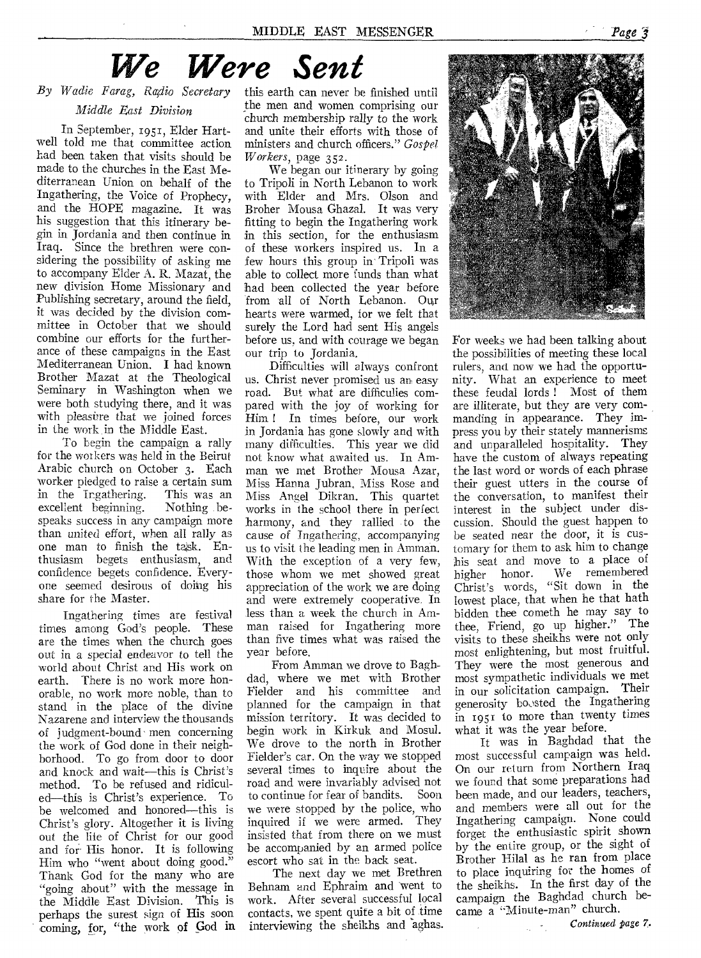# *We Were Sent*

### *By Wadie Farag, RcGlio Secretary Middle East Division*

In September, 1951, Elder Hartwell told me that committee action had been taken that visits should be made to the churches in the East Mediterranean Union on behalf of the Ingathering, the Voice of Prophecy, and the HOPE magazine. It was his suggestion that this itinerary begin in Jordania and then continue in Iraq. Since the brethren were considering the possibility of asking me to accompany Elder A. R. Mazat, the new division Home Missionary and Publishing secretary, around the field, it was decided by the division committee in October that we should combine our efforts for the furtherance of these campaigns in the East Mediterranean Union. I had known Brother Mazat at the Theological Seminary in Washington when we were both studying there, and it was with pleasure that we joined forces in the work in the Middle East.

To begin the campaign a rally for the workers was held in the Beirut Arabic church on October 3. Each worker pledged to raise a certain sum<br>in the Ingathering. This was an in the Ingathering. excellent beginning. Nothing bespeaks success in any campaign more than united effort, when all rally as one man to finish the task. Enthusiasm begets enthusiasm, and confidence begets confidence. Everyone seemed desirous of doing his share for the Master.

Ingathering times are festival times among God's people. These are the times when the church goes out in a special endeavor to tell the world about Christ and His work on earth. There is no work more honorable, no work more noble, than to stand in the place of the divine Nazarene and interview the thousands of judgment-bound men concerning the work of God done in their neighborhood. To go from door to door and knock and wait—this is Christ's method. To be refused and ridiculed—this is Christ's experience. To be welcomed and honored—this is Christ's glory. Altogether it is living out the life of Christ for our good and for His honor. It is following Him who "went about doing good." Thank God for the many who are "going about" with the message in the Middle East Division. This is perhaps the surest sign of His soon coming, for, "the work of God in

this earth can never be finished until the men and women comprising our church membership rally to the work and unite their efforts with those of ministers and church officers." *Gospel Workers,* page 352.

We began our itinerary by going to Tripoli in North Lebanon to work with Elder and Mrs. Olson and Broher Mousa Ghazal. It was very fitting to begin the Ingathering work in this section, for the enthusiasm of these workers inspired us. In a few hours this group in' Tripoli was able to collect more funds than what had been collected the year before from all of North Lebanon. Our hearts were warmed, for we felt that surely the Lord had sent His angels before us, and with courage we began our trip to Jordania.

Difficulties will always confront us. Christ never promised us an easy road. But what are difficulies compared with the joy of working for Him ! In times before, our work in Jordania has gone slowly and with many difficulties. This year we did not know what awaited us. In Amman we met Brother Mousa Azar, Miss Hanna Jubran, Miss Rose and Miss Angel Dikran. This quartet works in the school there in perfect harmony, and they rallied to the cause of Ingathering, accompanying us to visit the leading men in Amman. With the exception of a very few, those whom we met showed great appreciation of the work we are doing and were extremely cooperative. In less than a week the church in Amman raised for Ingathering more than five times what was raised the year before.

From Amman we drove to Baghdad, where we met with Brother Fielder and his committee and planned for the campaign in that mission territory. It was decided to begin work in Kirkuk and Mosul. We drove to the north in Brother Fielder's car. On the way we stopped several times to inquire about the road and were invariably advised not<br>to continue for fear of bandits Soon to continue for fear of bandits. we were stopped by the police, who inquired if we were armed. They insisted that from there on we must be accompanied by an armed police escort who sat in the back seat.

The next day we met Brethren Behnam and Ephraim and 'went to work. After several successful local contacts, we spent quite a bit of time interviewing the sheikhs and aghas.



For weeks we had been talking about the possibilities of meeting these local rulers, and now we had the opportunity. What an experience to meet these feudal lords ! Most of them are illiterate, but they are very commanding in appearance. They impress you by their stately mannerisms: and unparalleled hospitality. They have the custom of always repeating the last word or words of each phrase their guest utters in the course of the conversation, to manifest their interest in the subject under discussion. Should the guest happen to be seated near the door, it is customary for them to ask him to change his seat and move to a place of higher honor. We remembered Christ's words, "Sit down in the lowest place, that when he that hath bidden thee cometh he may say to thee, Friend, go up higher." The visits to these sheikhs were not only most enlightening, but most fruitful. They were the most generous and most sympathetic individuals we met in our solicitation campaign. Their generosity boosted the Ingathering in 1951 to more than twenty times what it was the year before.

It was in Baghdad that the most successful campaign was held. On our return from Northern Iraq we found that some preparations had been made, and our leaders, teachers, and members were all out for the Ingathering campaign. None could forget the enthusiastic spirit shown by the entire group, or the sight of Brother Hilal as he ran from place to place inquiring for the homes of the sheikhs. In the first day of the campaign the Baghdad church became a "Minute-man" church.

> *Continued page 7.*  $\mathbb{R}^{n}$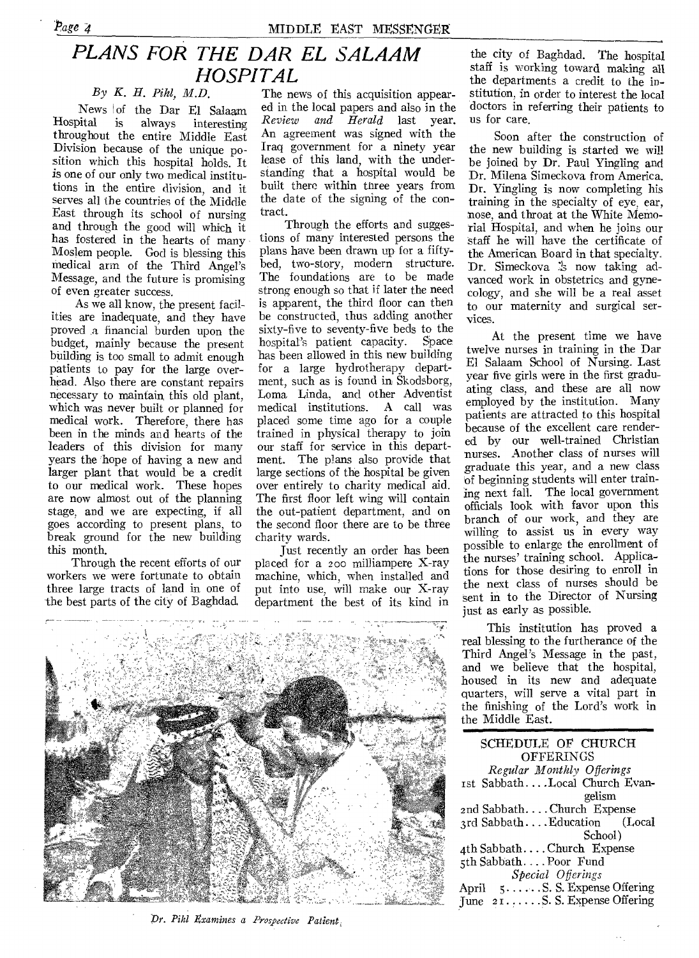## *PLANS FOR THE DAR EL SALAAM HOSPITAL*

*By K. H. Pihl, M.D.* 

News of the Dar El Salaam<br>Hospital is always interesting always interesting throughout the entire Middle East Division because of the unique position which this hospital holds. It is one of our only two medical institutions in the entire division, and it serves all the countries of the Middle East through its school of nursing and through the good will which it has fostered in the hearts of many Moslem people. God is blessing this medical arm of the Third Angel's Message, and the future is promising of even greater success.

As we all know, the present facilities are inadequate, and they have proved a financial burden upon the budget, mainly because the present building is too small to admit enough patients to pay for the large overhead. Also there are constant repairs necessary to maintain, this old plant, which was never built or planned for medical work. Therefore, there has been in the minds and hearts of the leaders of this division for many years the hope of having a new and larger plant that would be a credit to our medical work. These hopes are now almost out of the planning stage, and we are expecting, if all goes according to present plans, to break ground for the new building this month.

Through the recent efforts of our workers we were fortunate to obtain three large tracts of land in one of the best parts of the city of Baghdad.

The news of this acquisition appeared in the local papers and also in the *Review and Herald* last year. An agreement was signed with the Iraq government for a ninety year lease of this land, with the understanding that a hospital would be built there within three years from the date of the signing of the contract.

Through the efforts and suggestions of many interested persons the plans have been drawn up for a fiftybed, two-story, modern structure. The foundations are to be made strong enough so that if later the need is apparent, the third floor can then be constructed, thus adding another sixty-five to seventy-five beds to the hospital's patient capacity. Space has been allowed in this new building for a large hydrotherapy department, such as is found in Skodsborg, Loma Linda, and other Adventist medical institutions. A call was placed some time ago for a couple trained in physical therapy to join our staff for service in this department. The plans also provide that large sections of the hospital be given over entirely to charity medical aid. The first floor left wing will contain the out-patient department, and on the second floor there are to be three charity wards.

Just recently an order has been placed fcr a zoo milliampere X-ray machine, which, when installed and put into use, will make our X-ray department the best of its kind in



*Dr. Pihl Examines a Prospective Patient,* 

the city of Baghdad. The hospital staff is working toward making all the departments a credit to the institution, in order to interest the local doctors in referring their patients to us for care.

Soon after the construction of the new building is started we will be joined by Dr. Paul Yingling and Dr. Milena Simeckova from America. Dr. Yingling is now completing his training in the specialty of eye, ear, nose, and throat at the White Memorial Hospital, and when he joins our staff he will have the certificate of the American Board in that specialty. Dr. Simeckova :s now taking advanced work in obstetrics and gynecology, and she will be a real asset to our maternity and surgical services.

At the present time we have twelve nurses in training in the Dar El Salaam School of Nursing. Last year five girls were in the first graduating class, and these are all now employed by the institution. Many patients are attracted to this hospital because of the excellent care rendered by our well-trained Christian nurses. Another class of nurses will graduate this year, and a new class of beginning students will enter training next fall. The local government officials look with favor upon this branch of our work, and they are willing to assist us in every way possible to enlarge the enrollment of the nurses' training school. Applications for those desiring to enroll in the next class of nurses should be sent in to the Director of Nursing just as early as possible.

This institution has proved a real blessing to the furtherance of the Third Angel's Message in the past, and we believe that the hospital, housed in its new and adequate quarters, will serve a vital part in the finishing of the Lord's work in the Middle East.

SCHEDULE OF CHURCH **OFFERINGS** *Regular Monthly Offerings*  1st Sabbath. ...Local Church Evangelism 2nd Sabbath....Church Expense<br>2rd Sabbath....Education (Local 3rd Sabbath ... Education School) 4th Sabbath. . . . Church Expense 5th Sabbath. ...Poor Fund *Special Offerings*  April 5...... S. S. Expense Offering June 21..... S. S. Expense Offering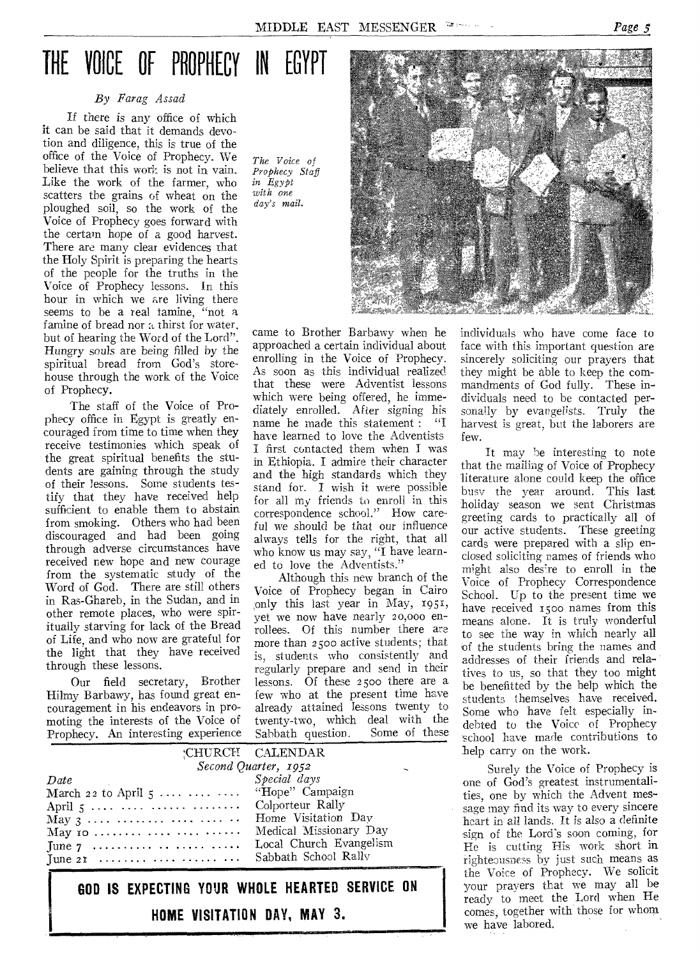# THE VOICE OF PROPHECY IN EGYPT

#### *By Farag Assad*

*If* there is any office of which it can be said that it demands devotion and diligence, this is true of the office of the Voice of Prophecy. We believe that this work is not in vain. Like the work of the farmer, who scatters the grains of wheat on the ploughed soil, so the work of the Voice of Prophecy goes forward with the certain hope of a good harvest. There are many clear evidences that the Holy Spirit is preparing the hearts of the people for the truths in the Voice of Prophecy lessons. In this hour in which we are living there seems to be a real famine, "not a famine of bread nor a thirst for water, but of hearing the Word of the Lord". Hungry souls are being filled by the spiritual bread from God's storehouse through the work of the Voice of Prophecy.

'The staff of the Voice of Prophecy office in Egypt is greatly encouraged from time to time when they receive testimonies which speak of the great spiritual benefits the students are gaining through the study of their lessons. Some students testify that they have received help sufficient to enable them to abstain from smoking. Others who had been discouraged and had been going through adverse circumstances have received new hope and new courage from the systematic study of the Word of God. There are still others in Ras-Ghareb, in the Sudan, and in other remote places, who were spiritually starving for lack of the Bread of Life, and who now are grateful for the light that they have received through these lessons.

Our field secretary, Brother Hilmy Barbawy, has found great encouragement in his endeavors in promoting the interests of the Voice of Prophecy. An interesting experience *The Voice of Prophecy Staff in Egypt with one day's mail.* 

came to Brother Barbawy when he approached a certain individual about enrolling in the Voice of Prophecy. As soon as this individual realized that these were Adventist lessons which were being offered, he immediately enrolled. After signing his<br>name he made this statement : "I name he made this statement : have learned to love the Adventists I first contacted them when I was in Ethiopia. I admire their character and the high standards which they stand for. I wish it were possible for all my friends to enroll in this correspondence school." How careful we should be that our influence always tells for the right, that all who know us may say, "I have learned to love the Adventists."

Although this new branch of the Voice of Prophecy began in Cairo only this last year in May, 1951, yet we now have nearly 20,000 enrollees. Of this number there are more than 2500 active students; that is, students who consistently and regularly prepare and send in their lessons. Of these 2500 there are a few who at the present time have already attained lessons twenty to twenty-two, which deal with the<br>Sabbath question Some of these  $S_4$ shbath question.

| rophery. All interesting experience Satibarii question. Some of enco-          |                                                  |
|--------------------------------------------------------------------------------|--------------------------------------------------|
|                                                                                | :CHURCH CALENDAR                                 |
|                                                                                | Second Quarter, 1952<br>$\overline{\phantom{a}}$ |
| Date                                                                           | Special days                                     |
| March 22 to April 5    "Hope" Campaign                                         |                                                  |
| April 5     Colporteur Rally                                                   |                                                  |
| May 3      Home Visitation Day                                                 |                                                  |
| $\rm{May\,\,io\,\,{}.\dots\,{}.\dots\,\,{}.\dots\,\,{}.\dots\,\,{}.\dots\,.{}$ | Medical Missionary Day                           |
|                                                                                | Local Church Evangelism                          |
| June 21  Sabbath School Rally                                                  |                                                  |

**GOD IS EXPECTING YOUR WHOLE HEARTED SERVICE ON HOME VISITATION DAY, MAY 3.** 



individuals who have come face to face with this important question are sincerely soliciting our prayers that they might be able to keep the commandments of God fully. These individuals need to be contacted personally by evangelists. Truly the harvest is great, but the laborers are few.

It may be interesting to note that the mailing of Voice of Prophecy literature alone could keep the office busy the year around. This last holiday season we sent Christmas greeting cards to practically all of our active students. These greeting cards were prepared with a slip enclosed soliciting names of friends who might also desjre to enroll in the Voice of Prophecy Correspondence School. Up to the present time we have received 1500 names from this means alone. It is truly wonderful to see the way in which nearly all of the students bring the names and addresses of their friends and relatives to us, so that they too might be benefitted by the help which the students themselves have received. Some who have felt especially indebted to the Voice of Prophecy school have made contributions to help carry on the work.

Surely the Voice of Prophecy is one of God's greatest instrumentalities, one by which the Advent message may find its way to every sincere heart in all lands. It is also a definite sign of the Lord's soon coming, for He is cutting His work short in righteousness by just such means as the Voice of Prophecy. We solicit your prayers that we may all be ready to meet the Lord when He comes, together with those for whom we have labored.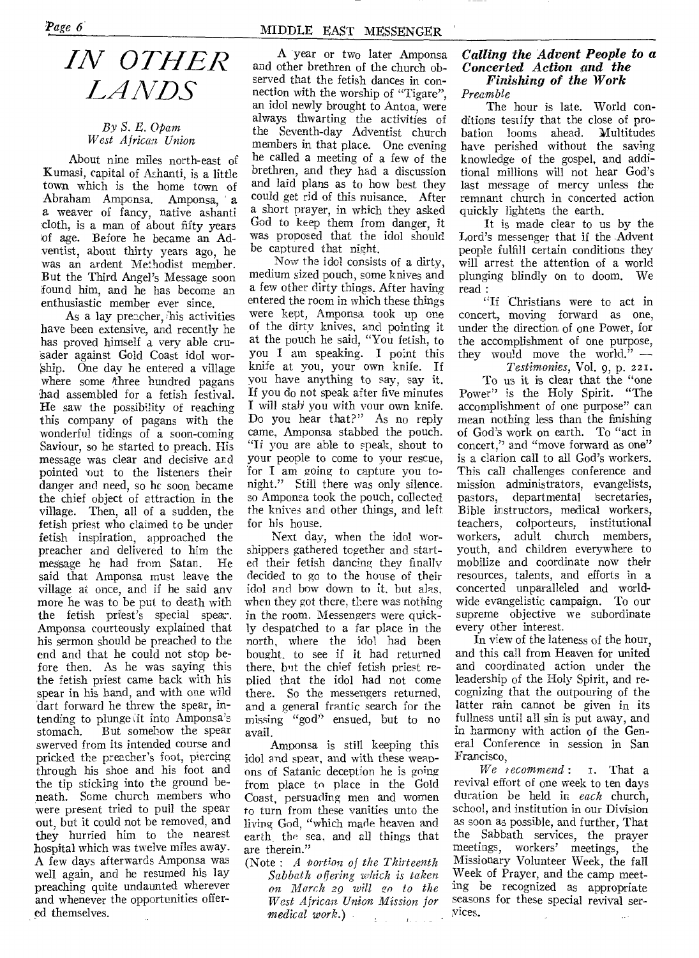# *IN OTHER LANDS*

#### *By S. E. Opam West African Union*

About nine miles north-east of Kumasi, capital of Ashanti, is a little town which is the home town of Abraham Amponsa. Amponsa, a a weaver of fancy, native ashanti cloth, is a man of about fifty years of age. Before he became an Adventist, about thirty years ago, he was an ardent Methodist member. But the Third Angel's Message soon found him, and he has become an enthusiastic member ever since.

As a lay preacher, his activities have been extensive, and recently he has proved himself a very able cruisader against Gold Coast idol worship. One day he entered a village where some three hundred pagans had assembled for a fetish festival. He saw the possibility of reaching this company of pagans with the wonderful tidings of a soon-coming Saviour, so he started to preach. His message was clear and decisive and pointed out to the listeners their danger and need, so he soon became the chief object of attraction in the village. Then, all of a sudden, the fetish priest who claimed to be under fetish inspiration, approached the preacher and delivered to him the message he had from Satan. said that Amponsa must leave the village at once, and if he said any more he was to be put to death with the fetish priest's special spear. Amponsa courteously explained that his sermon should be preached to the end and that he could not stop before then. As he was saying this the fetish priest came back with his spear in his hand, and with one wild dart forward he threw the spear, intending to plunge it into Amponsa's stomach. But somehow the spear But somehow the spear swerved from its intended course and pricked the preacher's foot, piercing through his shoe and his foot and the tip sticking into the ground beneath. Some church members who were present tried to pull the spear out, but it could not be removed, and they hurried him to the nearest hospital which was twelve miles away. A few days afterwards Amponsa was well again, and he resumed his lay preaching quite undaunted wherever and whenever the opportunities offered themselves.

A year or two later Amponsa and other brethren of the church observed that the fetish dances in connection with the worship of "Tigare", an idol newly brought to Antoa, were always thwarting the activities of the Seventh-day Adventist church members in that place. One evening he called a meeting of a few of the brethren, and they had a discussion and laid plans as to how best they could get rid of this nuisance. After a short prayer, in which they asked God to keep them from danger, it was proposed that the idol should be captured that night.

Now the idol consists of a dirty, medium sized pouch, some knives and a few other dirty things. After having entered the room in which these things were kept, Amponsa took up one of the dirty knives, and pointing it at the pouch he said, "You fetish, to you I am speaking. I point this knife at you, your own knife. If you have anything to say, say it. If you do not speak after five minutes I will stab' you with your own knife. Do you hear that?" As no reply came, Amponsa stabbed the pouch. "Ti you are able to speak, shout to your people to come to your rescue, for I am going to capture you tonight." Still there was only silence. soAmponsa took the pouch, collected the knives and other things, and left for his house.

Next day, when the idol worshippers gathered together and started their fetish dancing they finally decided to go to the house of their idol and bow down to it, but alas, when they got there, there was nothing in the room. Messengers were quickly despatched to a far place in the north, where the idol had been bought, to see if it had returned there, but the chief fetish priest replied that the idol had not come there. So the messengers returned, and a general frantic search for the missing "god" ensued, but to no avail.

Amponsa is still keeping this idol and spear, and with these weapons of Satanic deception he is going from place to place in the Gold Coast, persuading men and women to turn from these vanities unto the living God, "which made heaven and earth, the sea, and all things that are therein."

(Note : *A tort;on of the Thirteenth Sabbath offering which is taken on March 29 will .,•o to the West African Union Mission for medical work.)*   $\chi^2/\chi^2$  $1.7721$ 

#### *Calling the Advent People to a Concerted Action sand the Finishing of the Work Preamble*

The hour is late. World conditions testify that the close of probation looms ahead. Multitudes have perished without the saving knowledge of the gospel, and additional millions will not hear God's last message of mercy unless the remnant church in concerted action quickly lightens the earth.

It is made clear to us by the Lord's messenger that if the Advent people fulfill certain conditions they will arrest the attention of a world plunging blindly on to doom. We read :

"If Christians were to act in concert, moving forward as one, under the direction of one Power, for the accomplishment of one purpose, they would move the world." *—* 

*Testimonies,* Vol. 9, p. 221. To us it is clear that the "one Power" is the Holy Spirit. "The accomplishment of one purpose" can mean nothing less than the finishing of God's work on earth. To "act in concert," and "move forward as one" is a clarion call to all God's workers. This call challenges conference and mission administrators, evangelists, pastors, departmental secretaries, Bible instructors, medical workers, teachers, colporteurs, institutional workers, adult church members, youth, and children everywhere to mobilize and coordinate now their resources, talents, and efforts in a concerted unparalleled and worldwide evangelistic campaign. To our supreme objective we subordinate every other interest.

In view of the lateness of the hour, and this call from Heaven for united and coordinated action under the leadership of the Holy Spirit, and recognizing that the outpouring of the latter rain cannot be given in its fullness until all sin is put away, and in harmony with action of the General Conference in session in San Francisco,

*We recommend :* 1. That a revival effort of one week to ten days duration be held in *each* church, school, and institution in our Division as soon as possible, and further, That the Sabbath services, the prayer meetings, workers' meetings, the Missionary Volunteer Week, the fall Week of Prayer, and the camp meeting be recognized as appropriate seasons for these special revival seryices.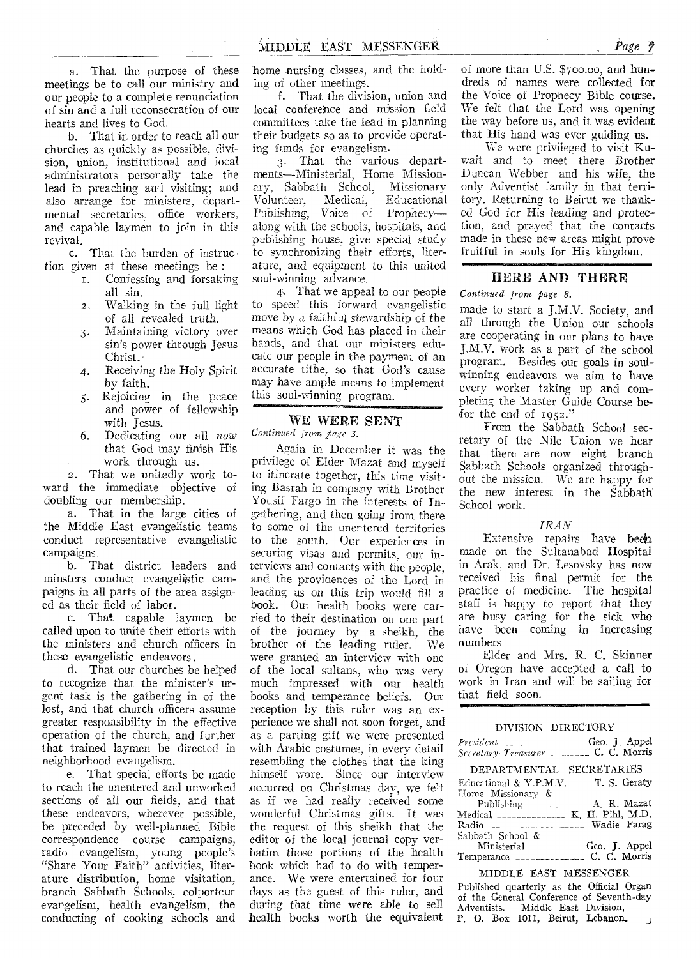a. That the purpose of these meetings be to call our ministry and our people to a complete renunciation of sin and a full reconsecration of our hearts and lives to God.

b. That in order to reach all our churches as quickly as possible, division, union, institutional and local administrators personally take the lead in preaching and visiting; and also arrange for ministers, departmental secretaries, office workers, and capable laymen to join in this revival.

c. That the burden of instruction given at these meetings be :

- 1. Confessing and forsaking all sin.
- 2, Walking in the full light of all revealed truth.
- 3. Maintaining victory over sin's power through Jesus Christ.
- 4. Receiving the Holy Spirit by faith.
- 5. Rejoicing in the peace and power of fellowship with Jesus.
- 6. Dedicating our all *now*  that God may finish His work through us.

2. That we unitedly work toward the immediate objective of doubling our membership.

a. That in the large cities of the Middle East evangelistic teams conduct representative evangelistic campaigns.

b. That district leaders and minsters conduct evangelistic campaigns in all parts of the area assigned as their field of labor.

c. That.capable laymen be called upon to unite their efforts with the ministers and church officers in these evangelistic endeavors.

d. That our churches be helped to recognize that the minister's urgent task is the gathering in of the lost, and that church officers assume greater responsibility in the effective operation of the church, and further that trained laymen be directed in neighborhood evangelism.

e. That special efforts be made to reach the unentered and unworked sections of all our fields, and that these endeavors, wherever possible, be preceded by well-planned Bible correspondence course campaigns, radio evangelism, young people's "Share Your Faith" activities, literature distribution, home visitation, branch Sabbath Schools, colporteur evangelism, health evangelism, the conducting of cooking schools and home nursing classes, and the holding of other meetings.

f. That the division, union and local conference and mission field committees take the lead in planning their budgets so as to provide operating funds for evangelism.

3. That the various departments—Ministerial, Home Missionary, Sabbath School, Missionary Volunteer, Medical, Educational Publishing, Voice of Prophecy along with the schools, hospitals, and pub *ishing* house, give special study to synchronizing their efforts, literature, and equipment to this united soul-winning advance.

4. That we appeal to our people to speed this forward evangelistic move by a faithful stewardship *of* the means which God has placed in their hands, and that our ministers educate our people in the payment of an accurate tithe, so that God's cause may have ample means to implement this soul-winning program.

### WE WERE SENT

*Continued from page 3.* 

Again in December it was the privilege of Elder Mazat and myself to itinerate together, this time visiting Basrah in company with Brother Yousif Fargo in the interests of Ingathering, and then going from there to some of the unentered territories to the south. Our experiences in securing visas and permits, our interviews and contacts with the people, and the providences of the Lord in leading us on this trip would fill a book. Out health books were carried to their destination on one part of the journey by a sheikh, the brother of the leading ruler. We were granted an interview with one of the local sultans, who was very much impressed with our health books and temperance beliefs. Our reception by this ruler was an experience we shall not soon forget, and as a parting gift we were presented with Arabic costumes, in every detail resembling the clothes' that the king himself wore. Since our interview occurred on Christmas day, we felt as if we had really received some wonderful Christmas gifts. It was the request of this sheikh that the editor of the local journal copy verbatim those portions of the health book which had to do with temperance. We were entertained for four days as the guest of this ruler, and during that time were able to sell health books worth the equivalent

of more than U.S. \$700.00, and hundreds of names were collected for the Voice of Prophecy Bible course. We felt that the Lord was opening the way before us, and it was evident that His hand was ever guiding us.

We were privileged to visit Kuwait and to meet there Brother Duncan Webber and his wife, the only Adventist family in that territory. Returning to Beirut we thanked God for His leading and protection, and prayed that the contacts made in these new areas might prove fruitful in souls for His kingdom.

#### HERE AND THERE

#### *Continued from page 8.*

made to start a J.M.V. Society, and all through the Union our schools are cooperating in our plans to have J.M.V. work as a part of the school program. Besides our goals in soulwinning endeavors we aim to have every worker taking up and completing the Master Guide Course befor the end of 1952."

From the Sabbath School secretary of the Nile Union. we hear that there are now eight branch Sabbath Schools organized throughout the mission. We are happy for the new interest in the Sabbath School work.

#### *IRAN*

Extensive repairs have been made on the Sultanabad Hospital in Arak, and Dr. Lesovsky has now received his final permit for the practice of medicine. The hospital staff is happy to report that they are busy caring for the sick who have been coming in increasing numbers

Elder and Mrs. R. C. Skinner of Oregon have accepted a call to work in Iran and will be sailing for that field soon.

121011•01.11MMISIMMM

#### DIVISION DIRECTORY

|                                           |  | Geo. J. Appel |
|-------------------------------------------|--|---------------|
| Secretary-Treasurer ________ C. C. Morris |  |               |

DEPARTMENTAL SECRETARIES

|                   |  |  | Educational & Y.P.M.V.  T. S. Geraty                             |
|-------------------|--|--|------------------------------------------------------------------|
| Home Missionary & |  |  |                                                                  |
| .                 |  |  | $\mathbf{r}$ $\mathbf{r}$ $\mathbf{r}$ $\mathbf{r}$ $\mathbf{r}$ |

| Radio __________________ Wadie Farag |               |
|--------------------------------------|---------------|
| Sabbath School &                     |               |
| Ministerial ___________              | Geo. J. Appel |
|                                      |               |

MIDDLE EAST MESSENGER

Published quarterly as the Official Organ of the General Conference of Seventh-day<br>Adventists. Middle East Division, Middle East Division, P. 0. Box 1011, Beirut, Lebanon.  $\overline{1}$